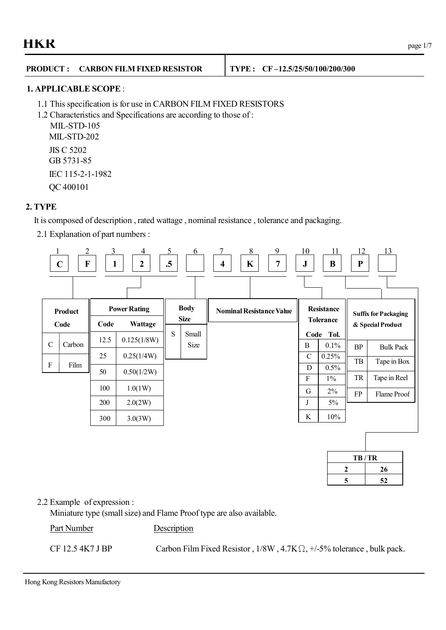## **PRODUCT : CARBON FILM FIXED RESISTOR TYPE : CF –12.5/25/50/100/200/300**

#### **1. APPLICABLE SCOPE** :

- 1.1 This specification is for use in CARBON FILM FIXED RESISTORS
- 1.2 Characteristics and Specifications are according to those of :

MIL-STD-105 MIL-STD-202 JIS C 5202 GB 5731-85 IEC 115-2-1-1982

QC 400101

## **2. TYPE**

It is composed of description , rated wattage , nominal resistance , tolerance and packaging.

2.1 Explanation of part numbers :



| TB/TR |    |  |  |  |
|-------|----|--|--|--|
|       | 26 |  |  |  |
| 5     | 52 |  |  |  |

#### 2.2 Example of expression :

Miniature type (small size) and Flame Proof type are also available.

Part Number Description

CF 12.5 4K7 J BP Carbon Film Fixed Resistor,  $1/8W$ ,  $4.7K\Omega$ ,  $+/-5\%$  tolerance, bulk pack.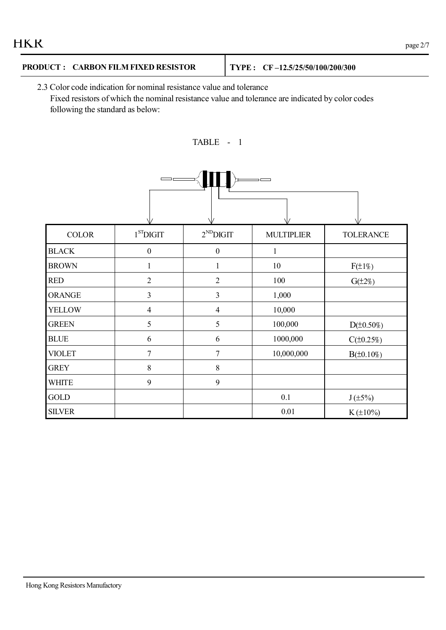| <b>HKR</b><br>page 2/7 |
|------------------------|
|------------------------|

# **PRODUCT : CARBON FILM FIXED RESISTOR TYPE : CF –12.5/25/50/100/200/300**

2.3 Color code indication for nominal resistance value and tolerance Fixed resistors of which the nominal resistance value and tolerance are indicated by color codes following the standard as below:



| <b>COLOR</b>  | $1ST$ DIGIT      | $2^{ND}$ DIGIT   | <b>MULTIPLIER</b> | <b>TOLERANCE</b> |
|---------------|------------------|------------------|-------------------|------------------|
| <b>BLACK</b>  | $\boldsymbol{0}$ | $\boldsymbol{0}$ | 1                 |                  |
| <b>BROWN</b>  | 1                | $\mathbf{1}$     | $10\,$            | $F(\pm 1\%)$     |
| <b>RED</b>    | $\overline{2}$   | $\overline{2}$   | 100               | $G(\pm 2\%)$     |
| <b>ORANGE</b> | 3                | $\overline{3}$   | 1,000             |                  |
| <b>YELLOW</b> | $\overline{4}$   | $\overline{4}$   | 10,000            |                  |
| <b>GREEN</b>  | 5                | 5                | 100,000           | $D(\pm 0.50\%)$  |
| <b>BLUE</b>   | 6                | 6                | 1000,000          | $C(\pm 0.25%)$   |
| <b>VIOLET</b> | $\overline{7}$   | $\overline{7}$   | 10,000,000        | $B(\pm 0.10\%)$  |
| <b>GREY</b>   | 8                | $8\,$            |                   |                  |
| <b>WHITE</b>  | 9                | 9                |                   |                  |
| GOLD          |                  |                  | 0.1               | $J(\pm 5\%)$     |
| <b>SILVER</b> |                  |                  | 0.01              | $K(\pm 10\%)$    |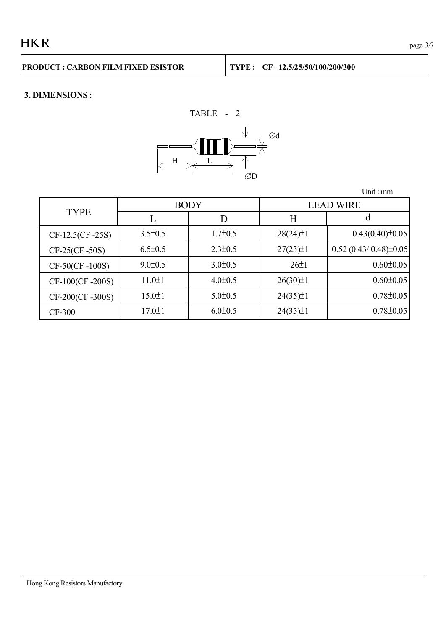# **3. DIMENSIONS** :



|                   |               |               |                  | Unit: $mm$                 |  |
|-------------------|---------------|---------------|------------------|----------------------------|--|
|                   |               | <b>BODY</b>   | <b>LEAD WIRE</b> |                            |  |
| <b>TYPE</b>       |               | D             | H                |                            |  |
| $CF-12.5(CF-25S)$ | $3.5 \pm 0.5$ | $1.7 \pm 0.5$ | $28(24) \pm 1$   | $0.43(0.40) \pm 0.05$      |  |
| $CF-25(CF-50S)$   | $6.5 \pm 0.5$ | $2.3 \pm 0.5$ | $27(23) \pm 1$   | $0.52(0.43/0.48) \pm 0.05$ |  |
| CF-50(CF-100S)    | $9.0 \pm 0.5$ | $3.0 \pm 0.5$ | $26 \pm 1$       | $0.60 \pm 0.05$            |  |
| CF-100(CF-200S)   | $11.0 \pm 1$  | $4.0 \pm 0.5$ | $26(30)\pm1$     | $0.60 \pm 0.05$            |  |
| CF-200(CF-300S)   | $15.0 \pm 1$  | $5.0 \pm 0.5$ | $24(35)\pm1$     | $0.78 \pm 0.05$            |  |
| <b>CF-300</b>     | $17.0 \pm 1$  | $6.0 \pm 0.5$ | $24(35)\pm1$     | $0.78 \pm 0.05$            |  |

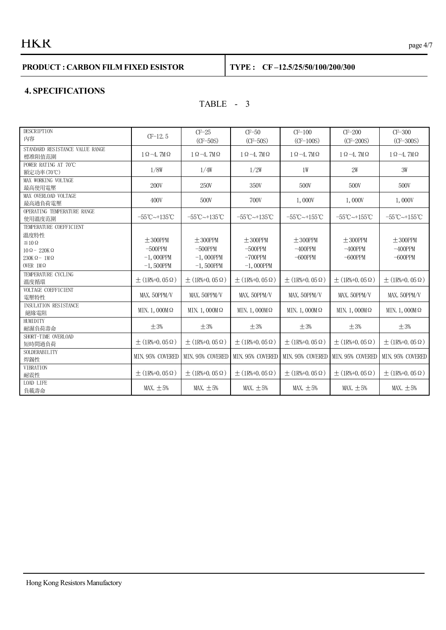# $HKR$  page 4/7

#### **PRODUCT : CARBON FILM FIXED ESISTOR TYPE : CF –12.5/25/50/100/200/300**

#### **4. SPECIFICATIONS**

## TABLE - 3

| <b>DESCRIPTION</b><br>内容                                                                                                       | $CF-12.5$                                                   | $CF-25$<br>$(CF-50S)$                                       | $CF-50$<br>$(CF-50S)$                                     | $CF-100$<br>$(CF-100S)$                                             | $CF-200$<br>$(CF-200S)$                  | $CF-300$<br>$(CF-300S)$                  |
|--------------------------------------------------------------------------------------------------------------------------------|-------------------------------------------------------------|-------------------------------------------------------------|-----------------------------------------------------------|---------------------------------------------------------------------|------------------------------------------|------------------------------------------|
| STANDARD RESISTANCE VALUE RANGE<br>標准阻值范圍                                                                                      | $1 \Omega - 4$ , $7M\Omega$                                 | $1 \Omega - 4$ , $7M\Omega$                                 | $1 \Omega - 4$ , $7M\Omega$                               | $1 \Omega - 4$ , $7M\Omega$                                         | $1 \Omega - 4$ , $7M\Omega$              | $1 \Omega - 4$ , $7M\Omega$              |
| POWER RATING AT 70°C<br>額定功率(70℃)                                                                                              | 1/8W                                                        | 1/4W                                                        | 1/2W                                                      | 1W                                                                  | 2W                                       | 3W                                       |
| MAX WORKING VOLTAGE<br>最高使用電壓                                                                                                  | 200V                                                        | 250V                                                        | 350V                                                      | 500V                                                                | 500V                                     | 500V                                     |
| MAX OVERLOAD VOLTAGE<br>最高過負荷電壓                                                                                                | 400V                                                        | 500V                                                        | 700V                                                      | 1,000V                                                              | 1,000V                                   | 1,000V                                   |
| OPERATING TEMPERATURE RANGE<br>使用溫度范圍                                                                                          | $-55^{\circ}$ C $-135^{\circ}$ C                            | $-55^{\circ}$ C $\sim$ +135 $^{\circ}$ C                    | $-55^{\circ}$ C $-135^{\circ}$ C                          | $-55^{\circ}$ C $\sim$ +155 $^{\circ}$ C                            | $-55^{\circ}$ C $\sim$ +155 $^{\circ}$ C | $-55^{\circ}$ C $-155^{\circ}$ C         |
| TEMPERATURE COEFFICIENT<br>溫度特性<br>$\leq 10 \Omega$<br>$10 \Omega - 220K \Omega$<br>$230K\Omega - 1M\Omega$<br>OVER $1M\Omega$ | $\pm$ 300PPM<br>$-500$ PPM<br>$-1$ , OOOPPM<br>$-1,500$ PPM | $\pm$ 300PPM<br>$-500$ PPM<br>$-1$ , OOOPPM<br>$-1,500$ PPM | $\pm$ 300PPM<br>$-500$ PPM<br>$-700$ PPM<br>$-1$ , 000PPM | $\pm$ 300PPM<br>$-400$ PPM<br>$-600$ PPM                            | $± 300$ PPM<br>$-400$ PPM<br>$-600$ PPM  | $\pm$ 300PPM<br>$-400$ PPM<br>$-600$ PPM |
| TEMPERATURE CYCLING<br>溫度循環                                                                                                    | $\pm$ (1R%+0, 05 $\Omega$ )                                 | $\pm$ (1R%+0, 05 $\Omega$ )                                 | $\pm$ (1R%+0, 05 $\Omega$ )                               | $\pm$ (1R%+0, 05 $\Omega$ )                                         | $\pm$ (1R%+0, 05 $\Omega$ )              | $\pm$ (1R%+0, 05 $\Omega$ )              |
| VOLTAGE COEFFICIENT<br>電壓特性                                                                                                    | MAX. 50PPM/V                                                | MAX. 50PPM/V                                                | MAX. 50PPM/V                                              | MAX. 50PPM/V                                                        | MAX. 50PPM/V                             | MAX. 50PPM/V                             |
| <b>INSULATION RESISTANCE</b><br>絕緣電阻                                                                                           | MIN. 1, $000M\Omega$                                        | MIN. 1, $000M\Omega$                                        | MIN. 1, $000M\Omega$                                      | MIN. 1, $000M\Omega$                                                | MIN. 1, $000M\Omega$                     | MIN. 1, $000M\Omega$                     |
| HUMIDITY<br>耐濕負荷壽命                                                                                                             | $\pm 3\%$                                                   | $\pm 3\%$                                                   | $\pm 3\%$                                                 | $\pm 3\%$                                                           | $\pm 3\%$                                | $\pm 3\%$                                |
| SHORT-TIME OVERLOAD<br>短時間過負荷                                                                                                  | $\pm$ (1R%+0, 05 $\Omega$ )                                 | $\pm$ (1R%+0, 05 $\Omega$ )                                 | $\pm$ (1R%+0, 05 $\Omega$ )                               | $\pm$ (1R%+0, 05 $\Omega$ )                                         | $\pm$ (1R%+0, 05 $\Omega$ )              | $\pm$ (1R%+0, 05 $\Omega$ )              |
| SOLDERABILITY<br>焊錫性                                                                                                           | MIN. 95% COVERED                                            |                                                             |                                                           | MIN. 95% COVERED MIN. 95% COVERED MIN. 95% COVERED MIN. 95% COVERED |                                          | MIN. 95% COVERED                         |
| <b>VIBRATION</b><br>耐震性                                                                                                        | $+$ (1R%+0, 05 $\Omega$ )                                   | $+$ (1R\%+0, 05 $\Omega$ )                                  | $+$ (1R%+0, 05 $\Omega$ )                                 | $\pm$ (1R%+0, 05 $\Omega$ )                                         | $+$ (1R\%+0, 05 $\Omega$ )               | $+$ (1R%+0, 05 $\Omega$ )                |
| <b>LOAD LIFE</b><br>負載壽命                                                                                                       | MAX. $\pm$ 5%                                               | MAX. $\pm$ 5%                                               | MAX. $\pm$ 5%                                             | MAX. $\pm$ 5%                                                       | MAX. $\pm$ 5%                            | MAX. $\pm$ 5%                            |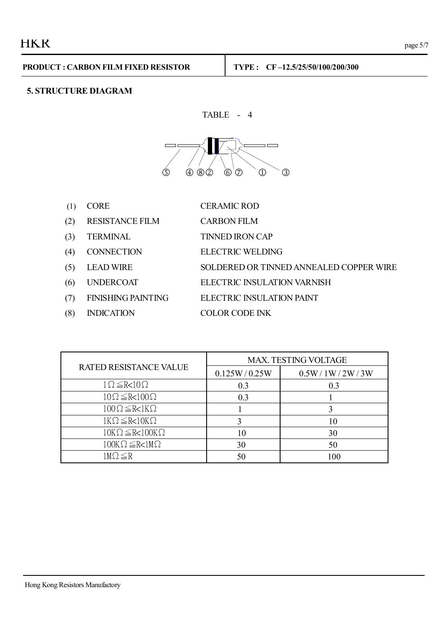# **5. STRUCTURE DIAGRAM**

TABLE - 4



(1) CORE CERAMIC ROD

- (2) RESISTANCE FILM CARBON FILM
- (3) TERMINAL TINNED IRON CAP
- (4) CONNECTION ELECTRIC WELDING
- (5) LEAD WIRE SOLDERED OR TINNED ANNEALED COPPER WIRE
- (6) UNDERCOAT ELECTRIC INSULATION VARNISH
- 
- 
- 
- (7) FINISHING PAINTING ELECTRIC INSULATION PAINT
- (8) INDICATION COLOR CODE INK

|                                 | MAX. TESTING VOLTAGE |                |  |
|---------------------------------|----------------------|----------------|--|
| <b>RATED RESISTANCE VALUE</b>   | 0.125W/0.25W         | 0.5W/1W/2W/3W  |  |
| $1 \Omega \leq R < 10 \Omega$   | 0.3                  | 0 <sup>3</sup> |  |
| $10\Omega \leq R < 100\Omega$   | 0.3                  |                |  |
| $100\Omega \leq R < 1K\Omega$   |                      |                |  |
| $1K\Omega \leq R < 10K\Omega$   |                      | 10             |  |
| $10K\Omega \leq R < 100K\Omega$ | 10                   | 30             |  |
| $100K\Omega \leq R < 1M\Omega$  | 30                   | 50             |  |
| 1M $\Omega \leq R$              |                      |                |  |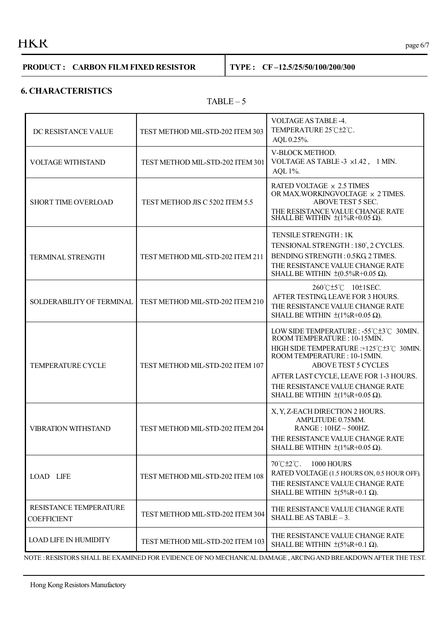# $HKR$  page 6/7

#### **PRODUCT : CARBON FILM FIXED RESISTOR TYPE : CF –12.5/25/50/100/200/300**

#### **6. CHARACTERISTICS**

#### $TABLE - 5$

| DC RESISTANCE VALUE                          | TEST METHOD MIL-STD-202 ITEM 303 | VOLTAGE AS TABLE -4.<br>TEMPERATURE 25°C±2°C.<br>AQL 0.25%.                                                                                                                                                                                                                                                  |
|----------------------------------------------|----------------------------------|--------------------------------------------------------------------------------------------------------------------------------------------------------------------------------------------------------------------------------------------------------------------------------------------------------------|
| <b>VOLTAGE WITHSTAND</b>                     | TEST METHOD MIL-STD-202 ITEM 301 | V-BLOCK METHOD.<br>VOLTAGE AS TABLE -3 x1.42, 1 MIN.<br>AQL 1%.                                                                                                                                                                                                                                              |
| <b>SHORT TIME OVERLOAD</b>                   | TEST METHOD JIS C 5202 ITEM 5.5  | RATED VOLTAGE × 2.5 TIMES<br>OR MAX.WORKINGVOLTAGE × 2 TIMES.<br>ABOVE TEST 5 SEC.<br>THE RESISTANCE VALUE CHANGE RATE<br>SHALL BE WITHIN $\pm (1\%R+0.05 \Omega)$ .                                                                                                                                         |
| <b>TERMINAL STRENGTH</b>                     | TEST METHOD MIL-STD-202 ITEM 211 | TENSILE STRENGTH: 1K<br>TENSIONAL STRENGTH: 180°, 2 CYCLES.<br>BENDING STRENGTH: 0.5KG, 2 TIMES.<br>THE RESISTANCE VALUE CHANGE RATE<br>SHALL BE WITHIN $\pm (0.5\%R+0.05 \Omega)$ .                                                                                                                         |
| SOLDERABILITY OF TERMINAL                    | TEST METHOD MIL-STD-202 ITEM 210 | 260°C±5°C 10±1SEC.<br>AFTER TESTING, LEAVE FOR 3 HOURS.<br>THE RESISTANCE VALUE CHANGE RATE<br>SHALL BE WITHIN $\pm (1\%R+0.05 \Omega)$ .                                                                                                                                                                    |
| <b>TEMPERATURE CYCLE</b>                     | TEST METHOD MIL-STD-202 ITEM 107 | LOW SIDE TEMPERATURE : -55°C±3°C 30MIN.<br>ROOM TEMPERATURE: 10-15MIN.<br>HIGH SIDE TEMPERATURE : +125°C±3°C 30MIN.<br>ROOM TEMPERATURE: 10-15MIN.<br><b>ABOVE TEST 5 CYCLES</b><br>AFTER LAST CYCLE, LEAVE FOR 1-3 HOURS.<br>THE RESISTANCE VALUE CHANGE RATE<br>SHALL BE WITHIN $\pm (1\%R+0.05 \Omega)$ . |
| <b>VIBRATION WITHSTAND</b>                   | TEST METHOD MIL-STD-202 ITEM 204 | X, Y, Z-EACH DIRECTION 2 HOURS.<br>AMPLITUDE 0.75MM.<br>$RANGE$ : 10HZ ~ 500HZ.<br>THE RESISTANCE VALUE CHANGE RATE<br>SHALL BE WITHIN $\pm(1\%R+0.05 \Omega)$ .                                                                                                                                             |
| <b>LOAD LIFE</b>                             | TEST METHOD MIL-STD-202 ITEM 108 | $70^{\circ}$ C $\pm 2^{\circ}$ C.<br>1000 HOURS<br>RATED VOLTAGE (1.5 HOURS ON, 0.5 HOUR OFF).<br>THE RESISTANCE VALUE CHANGE RATE<br>SHALL BE WITHIN $\pm (5\%R+0.1 \Omega)$ .                                                                                                                              |
| RESISTANCE TEMPERATURE<br><b>COEFFICIENT</b> | TEST METHOD MIL-STD-202 ITEM 304 | THE RESISTANCE VALUE CHANGE RATE<br>SHALL BE AS TABLE - 3.                                                                                                                                                                                                                                                   |
| <b>LOAD LIFE IN HUMIDITY</b>                 | TEST METHOD MIL-STD-202 ITEM 103 | THE RESISTANCE VALUE CHANGE RATE<br>SHALL BE WITHIN $\pm (5\%R+0.1 \Omega)$ .                                                                                                                                                                                                                                |

NOTE :RESISTORS SHALL BE EXAMINED FOR EVIDENCE OF NO MECHANICAL DAMAGE ,ARCINGAND BREAKDOWNAFTER THE TEST.